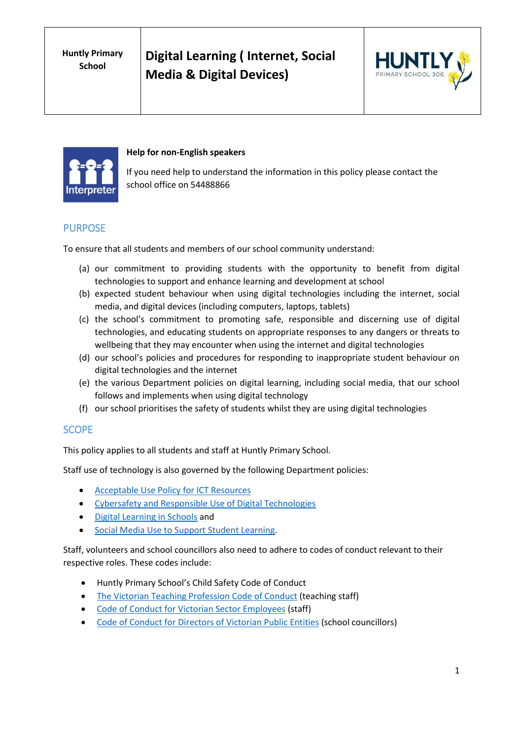**Digital Learning ( Internet, Social Media & Digital Devices)**





#### **Help for non-English speakers**

If you need help to understand the information in this policy please contact the school office on 54488866

## PURPOSE

To ensure that all students and members of our school community understand:

- (a) our commitment to providing students with the opportunity to benefit from digital technologies to support and enhance learning and development at school
- (b) expected student behaviour when using digital technologies including the internet, social media, and digital devices (including computers, laptops, tablets)
- (c) the school's commitment to promoting safe, responsible and discerning use of digital technologies, and educating students on appropriate responses to any dangers or threats to wellbeing that they may encounter when using the internet and digital technologies
- (d) our school's policies and procedures for responding to inappropriate student behaviour on digital technologies and the internet
- (e) the various Department policies on digital learning, including social media, that our school follows and implements when using digital technology
- (f) our school prioritises the safety of students whilst they are using digital technologies

# **SCOPE**

This policy applies to all students and staff at Huntly Primary School.

Staff use of technology is also governed by the following Department policies:

- [Acceptable Use Policy](https://www2.education.vic.gov.au/pal/ict-acceptable-use/overview) for ICT Resources
- [Cybersafety and Responsible Use of Digital Technologies](https://www2.education.vic.gov.au/pal/cybersafety/policy)
- [Digital Learning in Schools](https://www2.education.vic.gov.au/pal/digital-learning/policy) and
- [Social Media Use to Support Student Learning.](https://www2.education.vic.gov.au/pal/social-media/policy)

Staff, volunteers and school councillors also need to adhere to codes of conduct relevant to their respective roles. These codes include:

- Huntly Primary School's Child Safety Code of Conduct
- [The Victorian Teaching Profession Code of Conduct](https://www.vit.vic.edu.au/__data/assets/pdf_file/0018/35604/Code-of-Conduct-2016.pdf) (teaching staff)
- [Code of Conduct for Victorian Sector Employees](https://www2.education.vic.gov.au/pal/code-conduct/overview) (staff)
- [Code of Conduct for Directors of Victorian](https://www2.education.vic.gov.au/pal/school-council-conduct/policy) Public Entities (school councillors)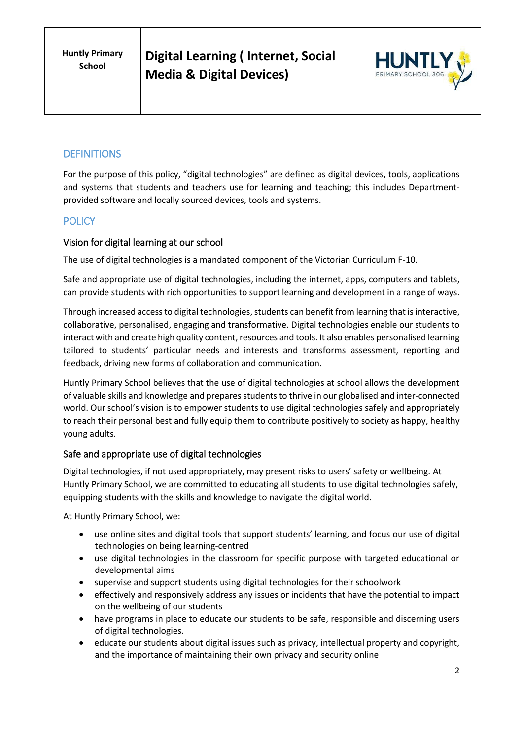**Huntly Primary School**

**Digital Learning ( Internet, Social Media & Digital Devices)**



# **DEFINITIONS**

For the purpose of this policy, "digital technologies" are defined as digital devices, tools, applications and systems that students and teachers use for learning and teaching; this includes Departmentprovided software and locally sourced devices, tools and systems.

## **POLICY**

## Vision for digital learning at our school

The use of digital technologies is a mandated component of the Victorian Curriculum F-10.

Safe and appropriate use of digital technologies, including the internet, apps, computers and tablets, can provide students with rich opportunities to support learning and development in a range of ways.

Through increased access to digital technologies, students can benefit from learning that is interactive, collaborative, personalised, engaging and transformative. Digital technologies enable our students to interact with and create high quality content, resources and tools. It also enables personalised learning tailored to students' particular needs and interests and transforms assessment, reporting and feedback, driving new forms of collaboration and communication.

Huntly Primary School believes that the use of digital technologies at school allows the development of valuable skills and knowledge and prepares students to thrive in our globalised and inter-connected world. Our school's vision is to empower students to use digital technologies safely and appropriately to reach their personal best and fully equip them to contribute positively to society as happy, healthy young adults.

#### Safe and appropriate use of digital technologies

Digital technologies, if not used appropriately, may present risks to users' safety or wellbeing. At Huntly Primary School, we are committed to educating all students to use digital technologies safely, equipping students with the skills and knowledge to navigate the digital world.

At Huntly Primary School, we:

- use online sites and digital tools that support students' learning, and focus our use of digital technologies on being learning-centred
- use digital technologies in the classroom for specific purpose with targeted educational or developmental aims
- supervise and support students using digital technologies for their schoolwork
- effectively and responsively address any issues or incidents that have the potential to impact on the wellbeing of our students
- have programs in place to educate our students to be safe, responsible and discerning users of digital technologies.
- educate our students about digital issues such as privacy, intellectual property and copyright, and the importance of maintaining their own privacy and security online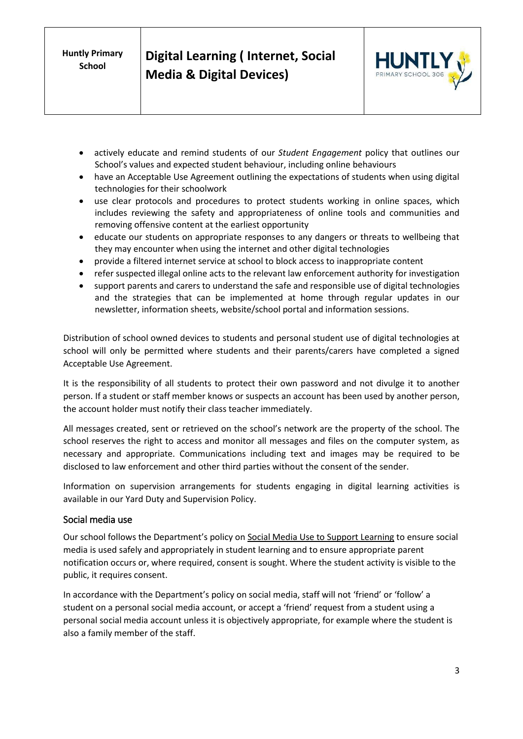**Huntly Primary School**



- actively educate and remind students of our *Student Engagement* policy that outlines our School's values and expected student behaviour, including online behaviours
- have an Acceptable Use Agreement outlining the expectations of students when using digital technologies for their schoolwork
- use clear protocols and procedures to protect students working in online spaces, which includes reviewing the safety and appropriateness of online tools and communities and removing offensive content at the earliest opportunity
- educate our students on appropriate responses to any dangers or threats to wellbeing that they may encounter when using the internet and other digital technologies
- provide a filtered internet service at school to block access to inappropriate content
- refer suspected illegal online acts to the relevant law enforcement authority for investigation
- support parents and carers to understand the safe and responsible use of digital technologies and the strategies that can be implemented at home through regular updates in our newsletter, information sheets, website/school portal and information sessions.

Distribution of school owned devices to students and personal student use of digital technologies at school will only be permitted where students and their parents/carers have completed a signed Acceptable Use Agreement.

It is the responsibility of all students to protect their own password and not divulge it to another person. If a student or staff member knows or suspects an account has been used by another person, the account holder must notify their class teacher immediately.

All messages created, sent or retrieved on the school's network are the property of the school. The school reserves the right to access and monitor all messages and files on the computer system, as necessary and appropriate. Communications including text and images may be required to be disclosed to law enforcement and other third parties without the consent of the sender.

Information on supervision arrangements for students engaging in digital learning activities is available in our Yard Duty and Supervision Policy.

#### Social media use

Our school follows the Department's policy on [Social Media Use to Support Learning](https://www2.education.vic.gov.au/pal/social-media/policy) to ensure social media is used safely and appropriately in student learning and to ensure appropriate parent notification occurs or, where required, consent is sought. Where the student activity is visible to the public, it requires consent.

In accordance with the Department's policy on social media, staff will not 'friend' or 'follow' a student on a personal social media account, or accept a 'friend' request from a student using a personal social media account unless it is objectively appropriate, for example where the student is also a family member of the staff.